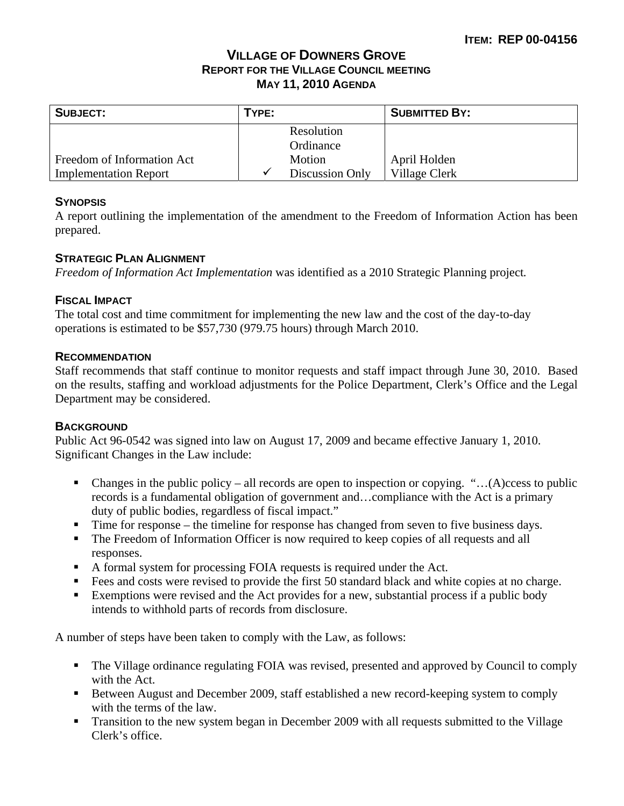# **VILLAGE OF DOWNERS GROVE REPORT FOR THE VILLAGE COUNCIL MEETING MAY 11, 2010 AGENDA**

| <b>SUBJECT:</b>              | TYPE: |                 | <b>SUBMITTED BY:</b> |
|------------------------------|-------|-----------------|----------------------|
|                              |       | Resolution      |                      |
|                              |       | Ordinance       |                      |
| Freedom of Information Act   |       | Motion          | April Holden         |
| <b>Implementation Report</b> | v     | Discussion Only | Village Clerk        |

#### **SYNOPSIS**

A report outlining the implementation of the amendment to the Freedom of Information Action has been prepared.

#### **STRATEGIC PLAN ALIGNMENT**

*Freedom of Information Act Implementation* was identified as a 2010 Strategic Planning project*.*

#### **FISCAL IMPACT**

The total cost and time commitment for implementing the new law and the cost of the day-to-day operations is estimated to be \$57,730 (979.75 hours) through March 2010.

#### **RECOMMENDATION**

Staff recommends that staff continue to monitor requests and staff impact through June 30, 2010. Based on the results, staffing and workload adjustments for the Police Department, Clerk's Office and the Legal Department may be considered.

#### **BACKGROUND**

Public Act 96-0542 was signed into law on August 17, 2009 and became effective January 1, 2010. Significant Changes in the Law include:

- Changes in the public policy all records are open to inspection or copying. " $\dots(A)$ ccess to public records is a fundamental obligation of government and…compliance with the Act is a primary duty of public bodies, regardless of fiscal impact."
- Time for response the timeline for response has changed from seven to five business days.
- The Freedom of Information Officer is now required to keep copies of all requests and all responses.
- A formal system for processing FOIA requests is required under the Act.
- Fees and costs were revised to provide the first 50 standard black and white copies at no charge.
- Exemptions were revised and the Act provides for a new, substantial process if a public body intends to withhold parts of records from disclosure.

A number of steps have been taken to comply with the Law, as follows:

- The Village ordinance regulating FOIA was revised, presented and approved by Council to comply with the Act.
- Between August and December 2009, staff established a new record-keeping system to comply with the terms of the law.
- **Transition to the new system began in December 2009 with all requests submitted to the Village** Clerk's office.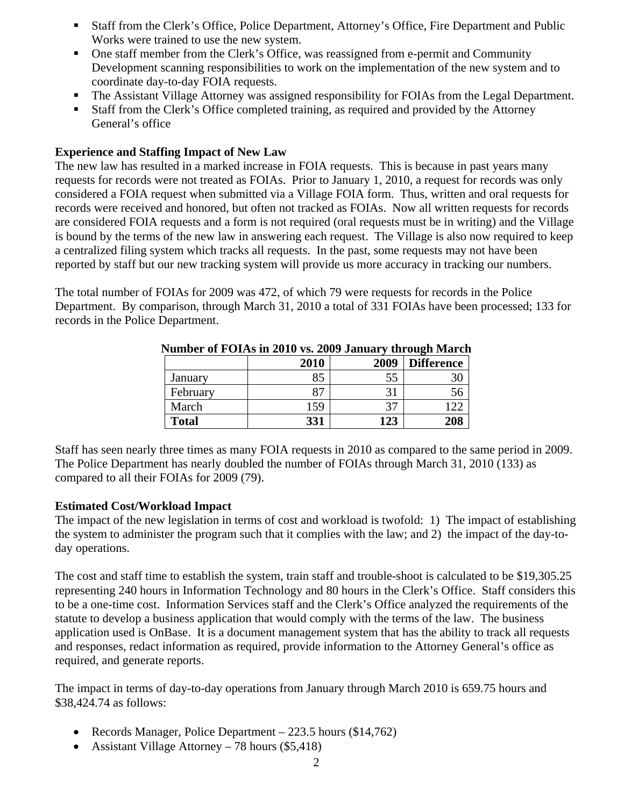- Staff from the Clerk's Office, Police Department, Attorney's Office, Fire Department and Public Works were trained to use the new system.
- One staff member from the Clerk's Office, was reassigned from e-permit and Community Development scanning responsibilities to work on the implementation of the new system and to coordinate day-to-day FOIA requests.
- The Assistant Village Attorney was assigned responsibility for FOIAs from the Legal Department.
- Staff from the Clerk's Office completed training, as required and provided by the Attorney General's office

### **Experience and Staffing Impact of New Law**

The new law has resulted in a marked increase in FOIA requests. This is because in past years many requests for records were not treated as FOIAs. Prior to January 1, 2010, a request for records was only considered a FOIA request when submitted via a Village FOIA form. Thus, written and oral requests for records were received and honored, but often not tracked as FOIAs. Now all written requests for records are considered FOIA requests and a form is not required (oral requests must be in writing) and the Village is bound by the terms of the new law in answering each request. The Village is also now required to keep a centralized filing system which tracks all requests. In the past, some requests may not have been reported by staff but our new tracking system will provide us more accuracy in tracking our numbers.

The total number of FOIAs for 2009 was 472, of which 79 were requests for records in the Police Department. By comparison, through March 31, 2010 a total of 331 FOIAs have been processed; 133 for records in the Police Department.

|              | 2010 | 2009 | <b>Difference</b> |
|--------------|------|------|-------------------|
| January      | 85   | 55   |                   |
| February     | Q7   |      |                   |
| March        | 159  |      |                   |
| <b>Total</b> | 331  | 123  | 208               |

#### **Number of FOIAs in 2010 vs. 2009 January through March**

Staff has seen nearly three times as many FOIA requests in 2010 as compared to the same period in 2009. The Police Department has nearly doubled the number of FOIAs through March 31, 2010 (133) as compared to all their FOIAs for 2009 (79).

### **Estimated Cost/Workload Impact**

The impact of the new legislation in terms of cost and workload is twofold: 1) The impact of establishing the system to administer the program such that it complies with the law; and 2) the impact of the day-today operations.

The cost and staff time to establish the system, train staff and trouble-shoot is calculated to be \$19,305.25 representing 240 hours in Information Technology and 80 hours in the Clerk's Office. Staff considers this to be a one-time cost. Information Services staff and the Clerk's Office analyzed the requirements of the statute to develop a business application that would comply with the terms of the law. The business application used is OnBase. It is a document management system that has the ability to track all requests and responses, redact information as required, provide information to the Attorney General's office as required, and generate reports.

The impact in terms of day-to-day operations from January through March 2010 is 659.75 hours and \$38,424.74 as follows:

- Records Manager, Police Department 223.5 hours (\$14,762)
- Assistant Village Attorney 78 hours (\$5,418)